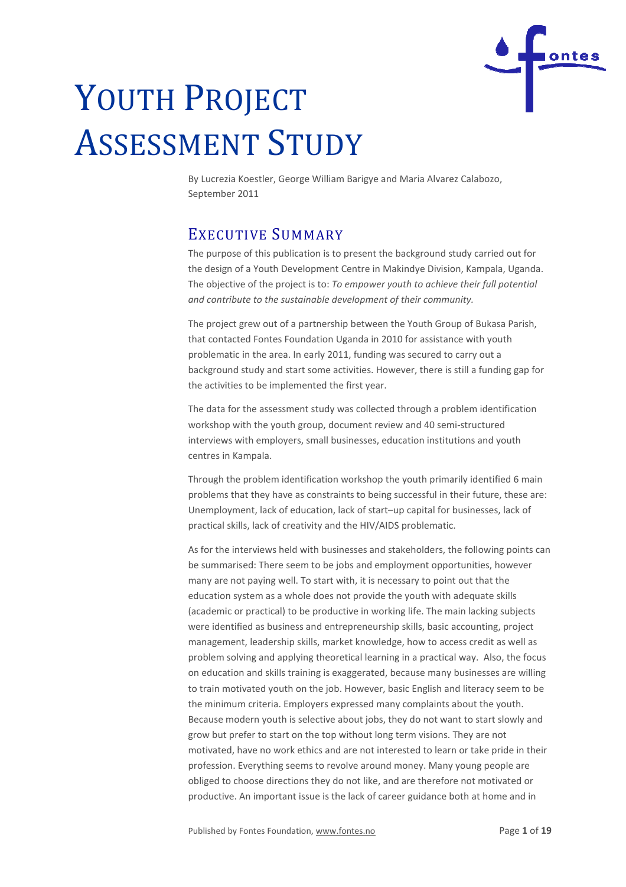

# YOUTH PROJECT ASSESSMENT STUDY

By Lucrezia Koestler, George William Barigye and Maria Alvarez Calabozo, Septemb er 2011

# EXECUTIVE SUMMARY

The purpose of this publication is to present the background study carried out for the design of a Youth Development Centre in Makindye Division, Kampala, Uganda. The objective of the project is to: *To empower youth to achieve their full potential*  and contribute to the sustainable development of their community.

The project grew out of a partnership between the Youth Group of Bukasa Parish, that contacted Fontes Foundation Uganda in 2010 for assistance with youth problematic in the area. In early 2011, funding was secured to carry out a background study and start some activities. However, there is still a funding gap for the activities to be implemented the first year. ea. In early 2011, funding was secured to carry out a<br>d start some activities. However, there is still a funding<br>plemented the first year.<br>ssment study was collected through a problem identif<br>puth group, document review an

The data for the assessment study was collected through a problem identification workshop with the youth group, document review and 40 semi interviews with employers, small businesses, education institutions and youth centres in Kampala.

Through the problem identification workshop the youth primarily identified 6 main problems that they have as constraints to being successful in their future, these are: Unemployment, lack of education, lack of start-up capital for businesses, lack of practical skills, lack of creativity and the HIV/AIDS problematic.

As for the interviews held with businesses and stakeholders, the following points can be summarised: There seem to be jobs and employment opportunities, however many are not paying well. To start with, it is necessary to point out that the education system as a whole does not provide the youth with adequate skills (academic or practical) to be productive in working life. The main lacking subjects were identified as business and entrepreneurship skills, basic accounting, project management, leadership skills, market knowledge, how to access credit as well as problem solving and applying theoretical learning in a practical way. Also, the focus on education and skills training is exaggerated, because many businesses are willing to train motivated youth on the job. However, basic English and literacy seem to be the minimum criteria. Employers expressed many complaints about the youth. Because modern youth is selective about jobs, they do not want to start slowly and grow but prefer to start on the top without long term visions. motivated, have no work ethics and are not interested to learn or take pride in their profession. Everything seems to revolve around money. Many young peo people are obliged to choose directions they do not like, and are therefore not motivated or productive. An important issue is the lack of career guidance both at home and in , because many businesses a<br>basic English and literacy see<br>any complaints about the you<br>they do not want to start slo<br>ng term visions. They are not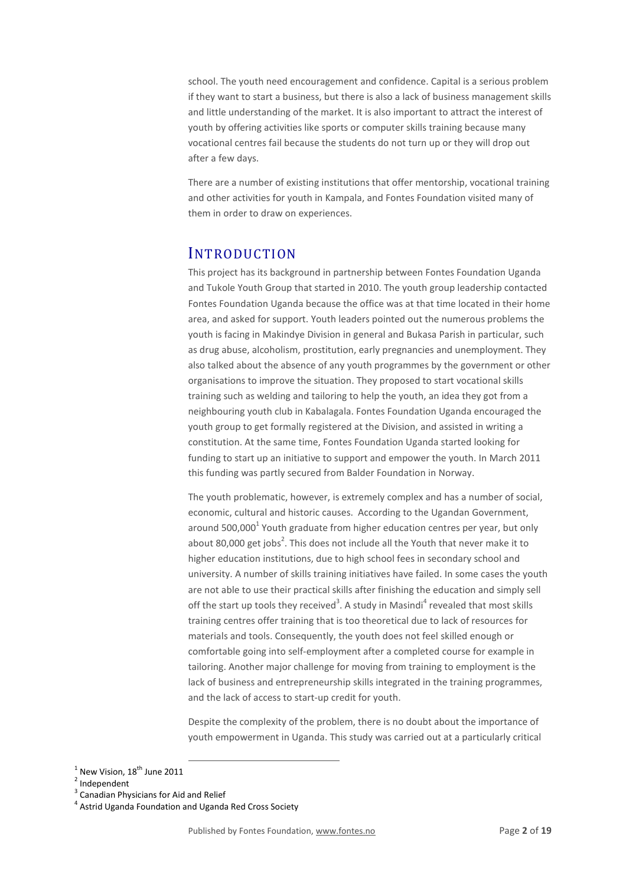school. The youth need encouragement and confidence. Capital is a serious problem if they want to start a business, but there is also a lack of business management skills and little understanding of the market. It is also important to attract the interest of youth by offering activities like sports or computer skills training because many vocational centres fail because the students do not turn up or they will drop out after a few days.

There are a number of existing institutions that offer mentorship, vocational training and other activities for youth in Kampala, and Fontes Foundation visited many of them in order to draw on experiences.

# **INTRODUCTION**

This project has its background in partnership between Fontes Foundation Uganda and Tukole Youth Group that started in 2010. The youth group leadership contacted Fontes Foundation Uganda because the office was at that time located in their home area, and asked for support. Youth leaders pointed out the numerous problems the youth is facing in Makindye Division in general and Bukasa Parish in particular, such as drug abuse, alcoholism, prostitution, early pregnancies and unemployment. They also talked about the absence of any youth programmes by the government or other organisations to improve the situation. They proposed to start vocational skills training such as welding and tailoring to help the youth, an idea they got from a neighbouring youth club in Kabalagala. Fontes Foundation Uganda encouraged the youth group to get formally registered at the Division, and assisted in writing a constitution. At the same time, Fontes Foundation Uganda started looking for funding to start up an initiative to support and empower the youth. In March 2011 this funding was partly secured from Balder Foundation in Norway.

The youth problematic, however, is extremely complex and has a number of social, economic, cultural and historic causes. According to the Ugandan Government, around 500,000<sup>1</sup> Youth graduate from higher education centres per year, but only about 80,000 get jobs<sup>2</sup>. This does not include all the Youth that never make it to higher education institutions, due to high school fees in secondary school and university. A number of skills training initiatives have failed. In some cases the youth are not able to use their practical skills after finishing the education and simply sell off the start up tools they received<sup>3</sup>. A study in Masindi<sup>4</sup> revealed that most skills training centres offer training that is too theoretical due to lack of resources for materials and tools. Consequently, the youth does not feel skilled enough or comfortable going into self-employment after a completed course for example in tailoring. Another major challenge for moving from training to employment is the lack of business and entrepreneurship skills integrated in the training programmes, and the lack of access to start-up credit for youth.

Despite the complexity of the problem, there is no doubt about the importance of youth empowerment in Uganda. This study was carried out at a particularly critical

 $\overline{a}$ 

 $^1$  New Vision, 18<sup>th</sup> June 2011

<sup>&</sup>lt;sup>2</sup> Independent

<sup>&</sup>lt;sup>3</sup> Canadian Physicians for Aid and Relief

<sup>&</sup>lt;sup>4</sup> Astrid Uganda Foundation and Uganda Red Cross Society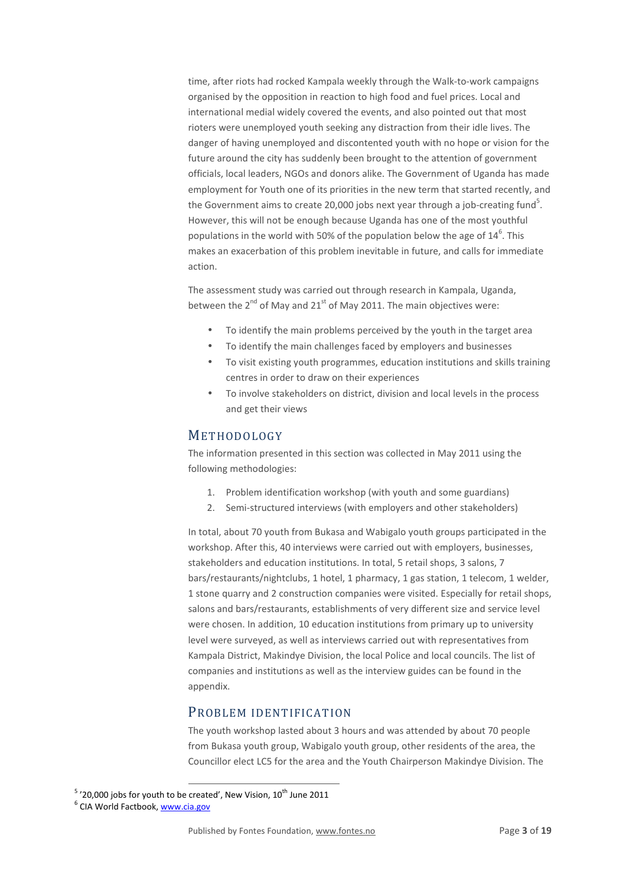time, after riots had rocked Kampala weekly through the Walk-to-work campaigns organised by the opposition in reaction to high food and fuel prices. Local and international medial widely covered the events, and also pointed out that most rioters were unemployed youth seeking any distraction from their idle lives. The danger of having unemployed and discontented youth with no hope or vision for the future around the city has suddenly been brought to the attention of government officials, local leaders, NGOs and donors alike. The Government of Uganda has made employment for Youth one of its priorities in the new term that started recently, and the Government aims to create 20,000 jobs next year through a job-creating fund<sup>5</sup>. However, this will not be enough because Uganda has one of the most youthful populations in the world with 50% of the population below the age of  $14^6$ . This makes an exacerbation of this problem inevitable in future, and calls for immediate action.

The assessment study was carried out through research in Kampala, Uganda, between the  $2^{nd}$  of May and  $21^{st}$  of May 2011. The main objectives were:

- To identify the main problems perceived by the youth in the target area
- To identify the main challenges faced by employers and businesses
- To visit existing youth programmes, education institutions and skills training centres in order to draw on their experiences
- To involve stakeholders on district, division and local levels in the process and get their views

# **METHODOLOGY**

The information presented in this section was collected in May 2011 using the following methodologies:

- 1. Problem identification workshop (with youth and some guardians)
- 2. Semi-structured interviews (with employers and other stakeholders)

In total, about 70 youth from Bukasa and Wabigalo youth groups participated in the workshop. After this, 40 interviews were carried out with employers, businesses, stakeholders and education institutions. In total, 5 retail shops, 3 salons, 7 bars/restaurants/nightclubs, 1 hotel, 1 pharmacy, 1 gas station, 1 telecom, 1 welder, 1 stone quarry and 2 construction companies were visited. Especially for retail shops, salons and bars/restaurants, establishments of very different size and service level were chosen. In addition, 10 education institutions from primary up to university level were surveyed, as well as interviews carried out with representatives from Kampala District, Makindye Division, the local Police and local councils. The list of companies and institutions as well as the interview guides can be found in the appendix.

# PROBLEM IDENTIFICATION

The youth workshop lasted about 3 hours and was attended by about 70 people from Bukasa youth group, Wabigalo youth group, other residents of the area, the Councillor elect LC5 for the area and the Youth Chairperson Makindye Division. The

 $5'$  '20,000 jobs for youth to be created', New Vision,  $10^{\text{th}}$  June 2011

 $\overline{a}$ 

<sup>&</sup>lt;sup>6</sup> CIA World Factbook, www.cia.gov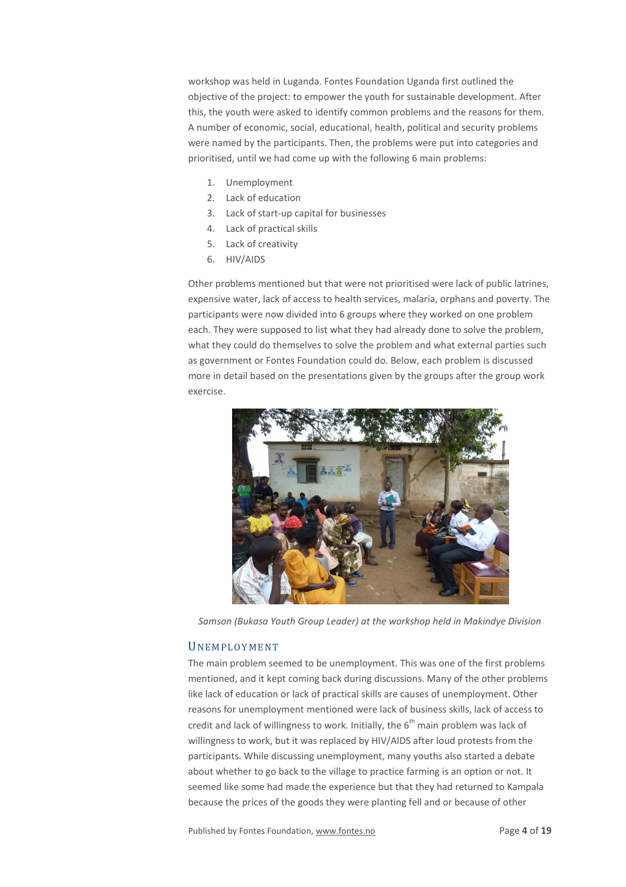workshop was held in Luganda. Fontes Foundation Uganda first outlined the objective of the project: to empower the youth for sustainable development. After this, the youth were asked to identify common problems and the reasons for them. A number of economic, social, educational, health, political and security problems were named by the participants. Then, the problems were put into categories and prioritised, until we had come up with the following 6 main problems:

- 1. Unemployment
- 2. Lack of education
- 3. Lack of start-up capital for businesses
- 4. Lack of practical skills
- 5. Lack of creativity
- 6. HIV/AIDS

Other problems mentioned but that were not prioritised were lack of public latrines, expensive water, lack of access to health services, malaria, orphans and poverty. The participants were now divided into 6 groups where they worked on one problem each. They were supposed to list what they had already done to solve the problem, what they could do themselves to solve the problem and what external parties such as government or Fontes Foundation could do. Below, each problem is discussed more in detail based on the presentations given by the groups after the group work exercise.



*Samson (Bukasa Youth Group Leader) at the workshop held in Makindye Division* 

## **UNEMPLOYMENT**

The main problem seemed to be unemployment. This was one of the first problems mentioned, and it kept coming back during discussions. Many of the other problems like lack of education or lack of practical skills are causes of unemployment. Other reasons for unemployment mentioned were lack of business skills, lack of access to credit and lack of willingness to work. Initially, the  $6<sup>th</sup>$  main problem was lack of willingness to work, but it was replaced by HIV/AIDS after loud protests from the participants. While discussing unemployment, many youths also started a debate about whether to go back to the village to practice farming is an option or not. It seemed like some had made the experience but that they had returned to Kampala because the prices of the goods they were planting fell and or because of other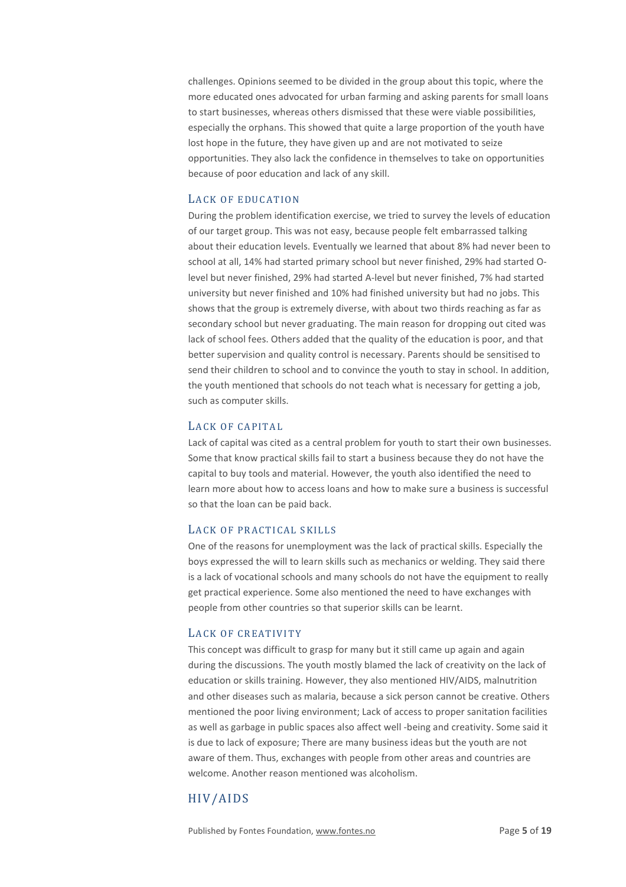challenges. Opinions seemed to be divided in the group about this topic, where the more educated ones advocated for urban farming and asking parents for small loans to start businesses, whereas others dismissed that these were viable possibilities, especially the orphans. This showed that quite a large proportion of the youth have lost hope in the future, they have given up and are not motivated to seize opportunities. They also lack the confidence in themselves to take on opportunities because of poor education and lack of any skill.

## LACK OF EDUCATION

During the problem identification exercise, we tried to survey the levels of education of our target group. This was not easy, because people felt embarrassed talking about their education levels. Eventually we learned that about 8% had never been to school at all, 14% had started primary school but never finished, 29% had started Olevel but never finished, 29% had started A-level but never finished, 7% had started university but never finished and 10% had finished university but had no jobs. This shows that the group is extremely diverse, with about two thirds reaching as far as secondary school but never graduating. The main reason for dropping out cited was lack of school fees. Others added that the quality of the education is poor, and that better supervision and quality control is necessary. Parents should be sensitised to send their children to school and to convince the youth to stay in school. In addition, the youth mentioned that schools do not teach what is necessary for getting a job, such as computer skills.

## LACK OF CAPITAL

Lack of capital was cited as a central problem for youth to start their own businesses. Some that know practical skills fail to start a business because they do not have the capital to buy tools and material. However, the youth also identified the need to learn more about how to access loans and how to make sure a business is successful so that the loan can be paid back.

## LACK OF PRACTICAL SKILLS

One of the reasons for unemployment was the lack of practical skills. Especially the boys expressed the will to learn skills such as mechanics or welding. They said there is a lack of vocational schools and many schools do not have the equipment to really get practical experience. Some also mentioned the need to have exchanges with people from other countries so that superior skills can be learnt.

## LACK OF CREATIVITY

This concept was difficult to grasp for many but it still came up again and again during the discussions. The youth mostly blamed the lack of creativity on the lack of education or skills training. However, they also mentioned HIV/AIDS, malnutrition and other diseases such as malaria, because a sick person cannot be creative. Others mentioned the poor living environment; Lack of access to proper sanitation facilities as well as garbage in public spaces also affect well -being and creativity. Some said it is due to lack of exposure; There are many business ideas but the youth are not aware of them. Thus, exchanges with people from other areas and countries are welcome. Another reason mentioned was alcoholism.

# HIV/AIDS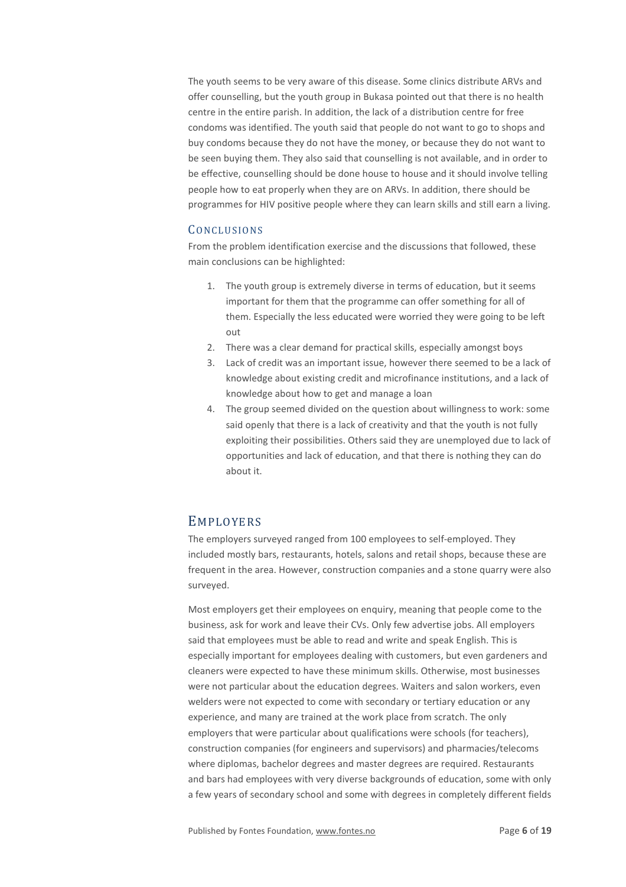The youth seems to be very aware of this disease. Some clinics distribute ARVs and offer counselling, but the youth group in Bukasa pointed out that there is no health centre in the entire parish. In addition, the lack of a distribution centre for free condoms was identified. The youth said that people do not want to go to shops and buy condoms because they do not have the money, or because they do not want to be seen buying them. They also said that counselling is not available, and in order to be effective, counselling should be done house to house and it should involve telling people how to eat properly when they are on ARVs. In addition, there should be programmes for HIV positive people where they can learn skills and still earn a living.

## **CONCLUSIONS**

From the problem identification exercise and the discussions that followed, these main conclusions can be highlighted:

- 1. The youth group is extremely diverse in terms of education, but it seems important for them that the programme can offer something for all of them. Especially the less educated were worried they were going to be left out
- 2. There was a clear demand for practical skills, especially amongst boys
- 3. Lack of credit was an important issue, however there seemed to be a lack of knowledge about existing credit and microfinance institutions, and a lack of knowledge about how to get and manage a loan
- 4. The group seemed divided on the question about willingness to work: some said openly that there is a lack of creativity and that the youth is not fully exploiting their possibilities. Others said they are unemployed due to lack of opportunities and lack of education, and that there is nothing they can do about it.

## EMPLOYERS

The employers surveyed ranged from 100 employees to self-employed. They included mostly bars, restaurants, hotels, salons and retail shops, because these are frequent in the area. However, construction companies and a stone quarry were also surveyed.

Most employers get their employees on enquiry, meaning that people come to the business, ask for work and leave their CVs. Only few advertise jobs. All employers said that employees must be able to read and write and speak English. This is especially important for employees dealing with customers, but even gardeners and cleaners were expected to have these minimum skills. Otherwise, most businesses were not particular about the education degrees. Waiters and salon workers, even welders were not expected to come with secondary or tertiary education or any experience, and many are trained at the work place from scratch. The only employers that were particular about qualifications were schools (for teachers), construction companies (for engineers and supervisors) and pharmacies/telecoms where diplomas, bachelor degrees and master degrees are required. Restaurants and bars had employees with very diverse backgrounds of education, some with only a few years of secondary school and some with degrees in completely different fields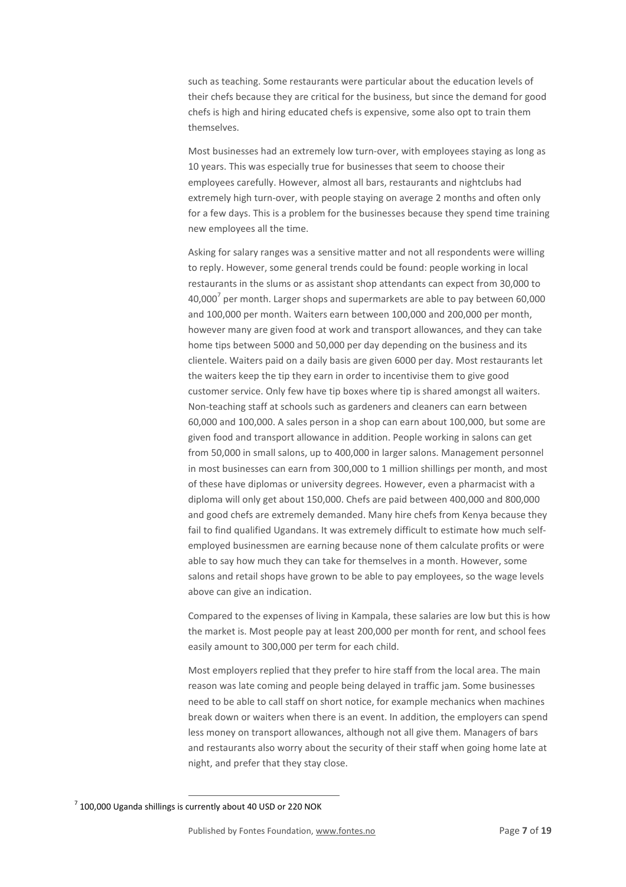such as teaching. Some restaurants were particular about the education levels of their chefs because they are critical for the business, but since the demand for good chefs is high and hiring educated chefs is expensive, some also opt to train them themselves.

Most businesses had an extremely low turn-over, with employees staying as long as 10 years. This was especially true for businesses that seem to choose their employees carefully. However, almost all bars, restaurants and nightclubs had extremely high turn-over, with people staying on average 2 months and often only for a few days. This is a problem for the businesses because they spend time training new employees all the time.

Asking for salary ranges was a sensitive matter and not all respondents were willing to reply. However, some general trends could be found: people working in local restaurants in the slums or as assistant shop attendants can expect from 30,000 to 40,000<sup>7</sup> per month. Larger shops and supermarkets are able to pay between 60,000 and 100,000 per month. Waiters earn between 100,000 and 200,000 per month, however many are given food at work and transport allowances, and they can take home tips between 5000 and 50,000 per day depending on the business and its clientele. Waiters paid on a daily basis are given 6000 per day. Most restaurants let the waiters keep the tip they earn in order to incentivise them to give good customer service. Only few have tip boxes where tip is shared amongst all waiters. Non-teaching staff at schools such as gardeners and cleaners can earn between 60,000 and 100,000. A sales person in a shop can earn about 100,000, but some are given food and transport allowance in addition. People working in salons can get from 50,000 in small salons, up to 400,000 in larger salons. Management personnel in most businesses can earn from 300,000 to 1 million shillings per month, and most of these have diplomas or university degrees. However, even a pharmacist with a diploma will only get about 150,000. Chefs are paid between 400,000 and 800,000 and good chefs are extremely demanded. Many hire chefs from Kenya because they fail to find qualified Ugandans. It was extremely difficult to estimate how much selfemployed businessmen are earning because none of them calculate profits or were able to say how much they can take for themselves in a month. However, some salons and retail shops have grown to be able to pay employees, so the wage levels above can give an indication.

Compared to the expenses of living in Kampala, these salaries are low but this is how the market is. Most people pay at least 200,000 per month for rent, and school fees easily amount to 300,000 per term for each child.

Most employers replied that they prefer to hire staff from the local area. The main reason was late coming and people being delayed in traffic jam. Some businesses need to be able to call staff on short notice, for example mechanics when machines break down or waiters when there is an event. In addition, the employers can spend less money on transport allowances, although not all give them. Managers of bars and restaurants also worry about the security of their staff when going home late at night, and prefer that they stay close.

 $\overline{a}$  $7$  100,000 Uganda shillings is currently about 40 USD or 220 NOK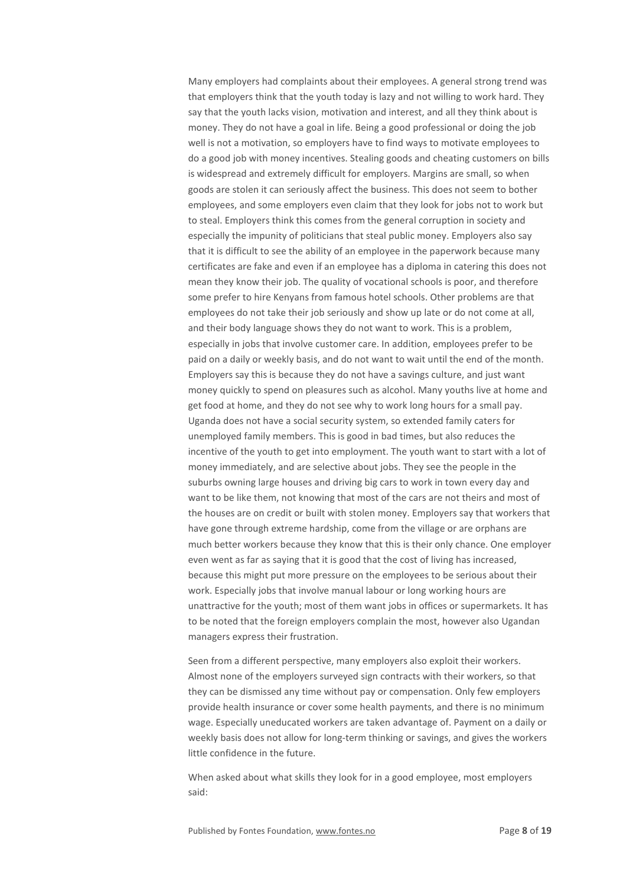Many employers had complaints about their employees. A general strong trend was that employers think that the youth today is lazy and not willing to work hard. They say that the youth lacks vision, motivation and interest, and all they think about is money. They do not have a goal in life. Being a good professional or doing the job well is not a motivation, so employers have to find ways to motivate employees to do a good job with money incentives. Stealing goods and cheating customers on bills is widespread and extremely difficult for employers. Margins are small, so when goods are stolen it can seriously affect the business. This does not seem to bother employees, and some employers even claim that they look for jobs not to work but to steal. Employers think this comes from the general corruption in society and especially the impunity of politicians that steal public money. Employers also say that it is difficult to see the ability of an employee in the paperwork because many certificates are fake and even if an employee has a diploma in catering this does not mean they know their job. The quality of vocational schools is poor, and therefore some prefer to hire Kenyans from famous hotel schools. Other problems are that employees do not take their job seriously and show up late or do not come at all, and their body language shows they do not want to work. This is a problem, especially in jobs that involve customer care. In addition, employees prefer to be paid on a daily or weekly basis, and do not want to wait until the end of the month. Employers say this is because they do not have a savings culture, and just want money quickly to spend on pleasures such as alcohol. Many youths live at home and get food at home, and they do not see why to work long hours for a small pay. Uganda does not have a social security system, so extended family caters for unemployed family members. This is good in bad times, but also reduces the incentive of the youth to get into employment. The youth want to start with a lot of money immediately, and are selective about jobs. They see the people in the suburbs owning large houses and driving big cars to work in town every day and want to be like them, not knowing that most of the cars are not theirs and most of the houses are on credit or built with stolen money. Employers say that workers that have gone through extreme hardship, come from the village or are orphans are much better workers because they know that this is their only chance. One employer even went as far as saying that it is good that the cost of living has increased, because this might put more pressure on the employees to be serious about their work. Especially jobs that involve manual labour or long working hours are unattractive for the youth; most of them want jobs in offices or supermarkets. It has to be noted that the foreign employers complain the most, however also Ugandan managers express their frustration.

Seen from a different perspective, many employers also exploit their workers. Almost none of the employers surveyed sign contracts with their workers, so that they can be dismissed any time without pay or compensation. Only few employers provide health insurance or cover some health payments, and there is no minimum wage. Especially uneducated workers are taken advantage of. Payment on a daily or weekly basis does not allow for long-term thinking or savings, and gives the workers little confidence in the future.

When asked about what skills they look for in a good employee, most employers said: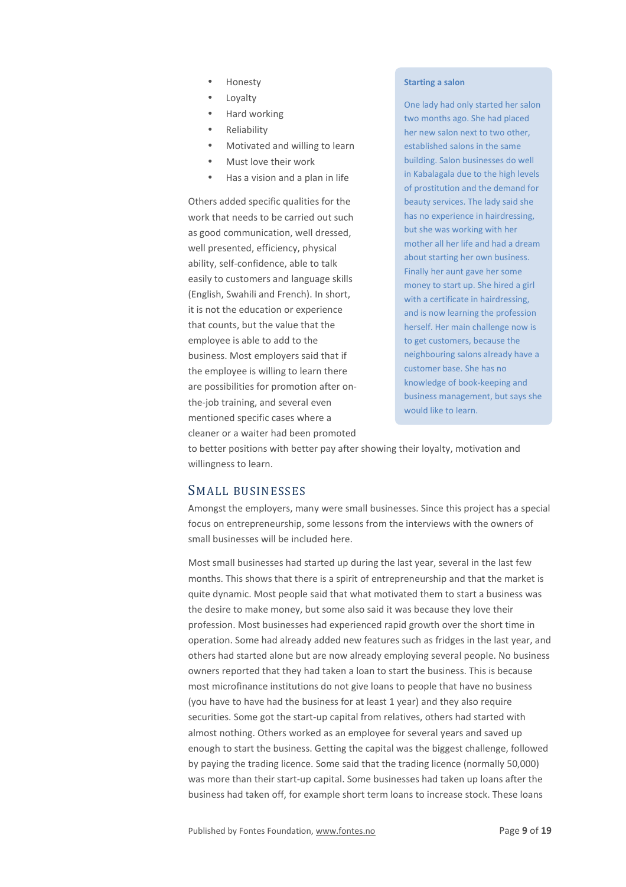- Honesty
- **Loyalty**
- Hard working
- Reliability
- Motivated and willing to learn
- Must love their work
- Has a vision and a plan in life

Others added specific qualities for the work that needs to be carried out such as good communication, well dressed, well presented, efficiency, physical ability, self-confidence, able to talk easily to customers and language skills (English, Swahili and French). In short, it is not the education or experience that counts, but the value that the employee is able to add to the business. Most employers said that if the employee is willing to learn there are possibilities for promotion after onthe-job training, and several even mentioned specific cases where a cleaner or a waiter had been promoted

#### **Starting a salon**

One lady had only started her salon two months ago. She had placed her new salon next to two other, established salons in the same building. Salon businesses do well in Kabalagala due to the high levels of prostitution and the demand for beauty services. The lady said she has no experience in hairdressing, but she was working with her mother all her life and had a dream about starting her own business. Finally her aunt gave her some money to start up. She hired a girl with a certificate in hairdressing. and is now learning the profession herself. Her main challenge now is to get customers, because the neighbouring salons already have a customer base. She has no knowledge of book-keeping and business management, but says she would like to learn.

to better positions with better pay after showing their loyalty, motivation and willingness to learn.

# SMALL BUSINESSES

Amongst the employers, many were small businesses. Since this project has a special focus on entrepreneurship, some lessons from the interviews with the owners of small businesses will be included here.

Most small businesses had started up during the last year, several in the last few months. This shows that there is a spirit of entrepreneurship and that the market is quite dynamic. Most people said that what motivated them to start a business was the desire to make money, but some also said it was because they love their profession. Most businesses had experienced rapid growth over the short time in operation. Some had already added new features such as fridges in the last year, and others had started alone but are now already employing several people. No business owners reported that they had taken a loan to start the business. This is because most microfinance institutions do not give loans to people that have no business (you have to have had the business for at least 1 year) and they also require securities. Some got the start-up capital from relatives, others had started with almost nothing. Others worked as an employee for several years and saved up enough to start the business. Getting the capital was the biggest challenge, followed by paying the trading licence. Some said that the trading licence (normally 50,000) was more than their start-up capital. Some businesses had taken up loans after the business had taken off, for example short term loans to increase stock. These loans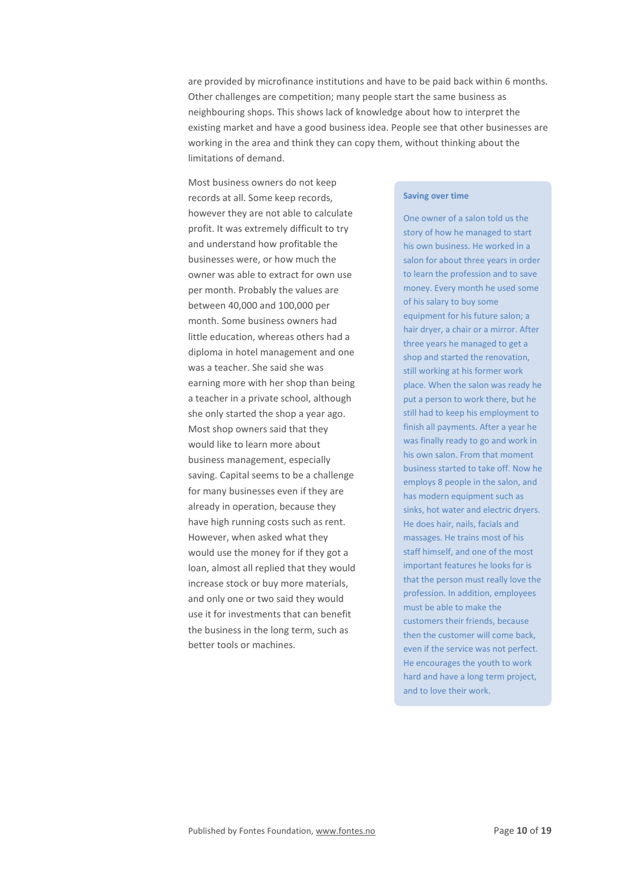are provided by microfinance institutions and have to be paid back within 6 months. Other challenges are competition; many people start the same business as neighbouring shops. This shows lack of knowledge about how to interpret the existing market and have a good business idea. People see that other businesses are working in the area and think they can copy them, without thinking about the limitations of demand.

Most business owners do not keep records at all. Some keep records, however they are not able to calculate profit. It was extremely difficult to try and understand how profitable the businesses were, or how much the owner was able to extract for own use per month. Probably the values are between 40,000 and 100,000 per month. Some business owners had little education, whereas others had a diploma in hotel management and one was a teacher. She said she was earning more with her shop than being a teacher in a private school, although she only started the shop a year ago. Most shop owners said that they would like to learn more about business management, especially saving. Capital seems to be a challenge for many businesses even if they are already in operation, because they have high running costs such as rent. However, when asked what they would use the money for if they got a loan, almost all replied that they would increase stock or buy more materials, and only one or two said they would use it for investments that can benefit the business in the long term, such as better tools or machines.

#### **Saving over time**

One owner of a salon told us the story of how he managed to start his own business. He worked in a salon for about three years in order to learn the profession and to save money. Every month he used some of his salary to buy some equipment for his future salon; a hair dryer, a chair or a mirror. After three years he managed to get a shop and started the renovation, still working at his former work place. When the salon was ready he put a person to work there, but he still had to keep his employment to finish all payments. After a year he was finally ready to go and work in his own salon. From that moment business started to take off. Now he employs 8 people in the salon, and has modern equipment such as sinks, hot water and electric dryers. He does hair, nails, facials and massages. He trains most of his staff himself, and one of the most important features he looks for is that the person must really love the profession. In addition, employees must be able to make the customers their friends, because then the customer will come back, even if the service was not perfect. He encourages the youth to work hard and have a long term project, and to love their work.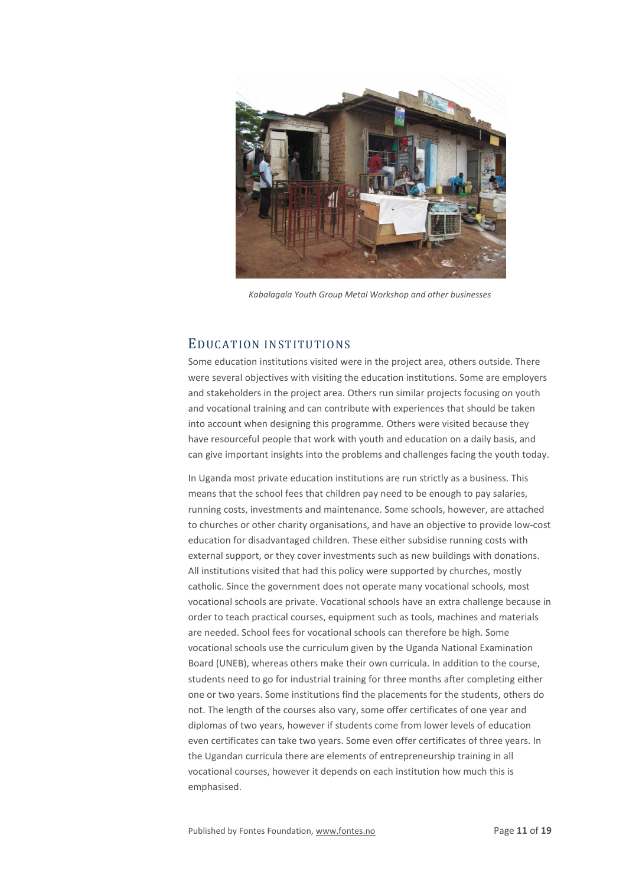

*Kabalagala Youth Group Metal Workshop and other businesses*

# EDUCATION INSTITUTIONS

Some education institutions visited were in the project area, others outside. There were several objectives with visiting the education institutions. Some are employers and stakeholders in the project area. Others run similar projects focusing on youth and vocational training and can contribute with experiences that should be taken into account when designing this programme. Others were visited because they have resourceful people that work with youth and education on a daily basis, and can give important insights into the problems and challenges facing the youth today.

In Uganda most private education institutions are run strictly as a business. This means that the school fees that children pay need to be enough to pay salaries, running costs, investments and maintenance. Some schools, however, are attached to churches or other charity organisations, and have an objective to provide low-cost education for disadvantaged children. These either subsidise running costs with external support, or they cover investments such as new buildings with donations. All institutions visited that had this policy were supported by churches, mostly catholic. Since the government does not operate many vocational schools, most vocational schools are private. Vocational schools have an extra challenge because in order to teach practical courses, equipment such as tools, machines and materials are needed. School fees for vocational schools can therefore be high. Some vocational schools use the curriculum given by the Uganda National Examination Board (UNEB), whereas others make their own curricula. In addition to the course, students need to go for industrial training for three months after completing either one or two years. Some institutions find the placements for the students, others do not. The length of the courses also vary, some offer certificates of one year and diplomas of two years, however if students come from lower levels of education even certificates can take two years. Some even offer certificates of three years. In the Ugandan curricula there are elements of entrepreneurship training in all vocational courses, however it depends on each institution how much this is emphasised.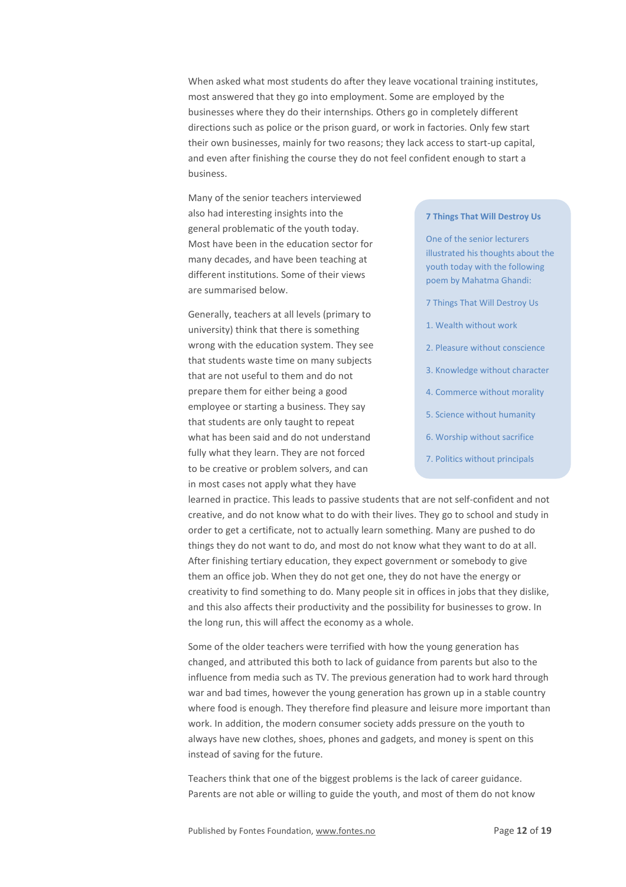When asked what most students do after they leave vocational training institutes, most answered that they go into employment. Some are employed by the businesses where they do their internships. Others go in completely different directions such as police or the prison guard, or work in factories. Only few start their own businesses, mainly for two reasons; they lack access to start-up capital, and even after finishing the course they do not feel confident enough to start a business.

Many of the senior teachers interviewed also had interesting insights into the general problematic of the youth today. Most have been in the education sector for many decades, and have been teaching at different institutions. Some of their views are summarised below.

Generally, teachers at all levels (primary to university) think that there is something wrong with the education system. They see that students waste time on many subjects that are not useful to them and do not prepare them for either being a good employee or starting a business. They say that students are only taught to repeat what has been said and do not understand fully what they learn. They are not forced to be creative or problem solvers, and can in most cases not apply what they have

#### **7 Things That Will Destroy Us**

One of the senior lecturers illustrated his thoughts about the youth today with the following poem by Mahatma Ghandi:

- 7 Things That Will Destroy Us
- 1. Wealth without work
- 2. Pleasure without conscience
- 3. Knowledge without character
- 4. Commerce without morality
- 5. Science without humanity
- 6. Worship without sacrifice
- 7. Politics without principals

learned in practice. This leads to passive students that are not self-confident and not creative, and do not know what to do with their lives. They go to school and study in order to get a certificate, not to actually learn something. Many are pushed to do things they do not want to do, and most do not know what they want to do at all. After finishing tertiary education, they expect government or somebody to give them an office job. When they do not get one, they do not have the energy or creativity to find something to do. Many people sit in offices in jobs that they dislike, and this also affects their productivity and the possibility for businesses to grow. In the long run, this will affect the economy as a whole.

Some of the older teachers were terrified with how the young generation has changed, and attributed this both to lack of guidance from parents but also to the influence from media such as TV. The previous generation had to work hard through war and bad times, however the young generation has grown up in a stable country where food is enough. They therefore find pleasure and leisure more important than work. In addition, the modern consumer society adds pressure on the youth to always have new clothes, shoes, phones and gadgets, and money is spent on this instead of saving for the future.

Teachers think that one of the biggest problems is the lack of career guidance. Parents are not able or willing to guide the youth, and most of them do not know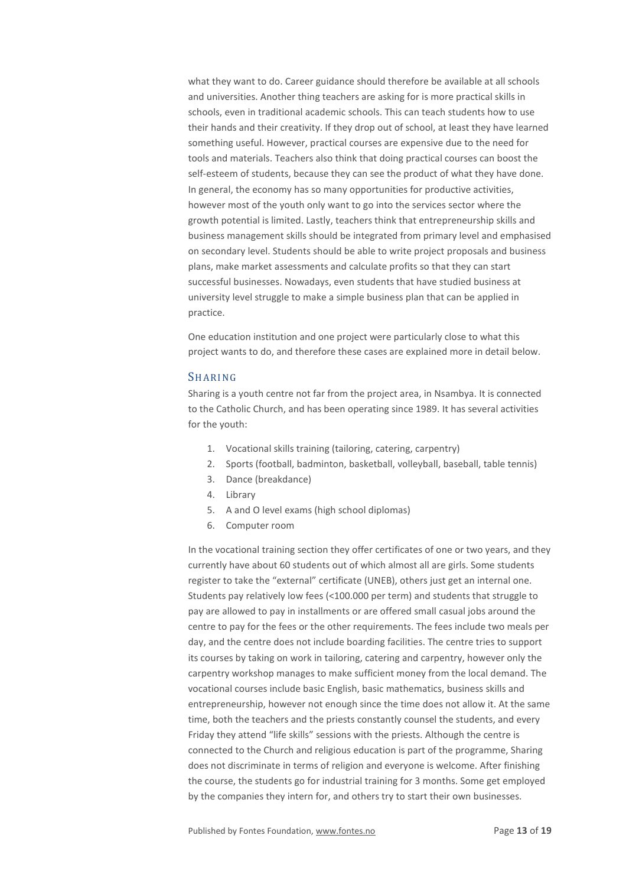what they want to do. Career guidance should therefore be available at all schools and universities. Another thing teachers are asking for is more practical skills in schools, even in traditional academic schools. This can teach students how to use their hands and their creativity. If they drop out of school, at least they have learned something useful. However, practical courses are expensive due to the need for tools and materials. Teachers also think that doing practical courses can boost the self-esteem of students, because they can see the product of what they have done. In general, the economy has so many opportunities for productive activities, however most of the youth only want to go into the services sector where the growth potential is limited. Lastly, teachers think that entrepreneurship skills and business management skills should be integrated from primary level and emphasised on secondary level. Students should be able to write project proposals and business plans, make market assessments and calculate profits so that they can start successful businesses. Nowadays, even students that have studied business at university level struggle to make a simple business plan that can be applied in practice.

One education institution and one project were particularly close to what this project wants to do, and therefore these cases are explained more in detail below.

## **SHARING**

Sharing is a youth centre not far from the project area, in Nsambya. It is connected to the Catholic Church, and has been operating since 1989. It has several activities for the youth:

- 1. Vocational skills training (tailoring, catering, carpentry)
- 2. Sports (football, badminton, basketball, volleyball, baseball, table tennis)
- 3. Dance (breakdance)
- 4. Library
- 5. A and O level exams (high school diplomas)
- 6. Computer room

In the vocational training section they offer certificates of one or two years, and they currently have about 60 students out of which almost all are girls. Some students register to take the "external" certificate (UNEB), others just get an internal one. Students pay relatively low fees (<100.000 per term) and students that struggle to pay are allowed to pay in installments or are offered small casual jobs around the centre to pay for the fees or the other requirements. The fees include two meals per day, and the centre does not include boarding facilities. The centre tries to support its courses by taking on work in tailoring, catering and carpentry, however only the carpentry workshop manages to make sufficient money from the local demand. The vocational courses include basic English, basic mathematics, business skills and entrepreneurship, however not enough since the time does not allow it. At the same time, both the teachers and the priests constantly counsel the students, and every Friday they attend "life skills" sessions with the priests. Although the centre is connected to the Church and religious education is part of the programme, Sharing does not discriminate in terms of religion and everyone is welcome. After finishing the course, the students go for industrial training for 3 months. Some get employed by the companies they intern for, and others try to start their own businesses.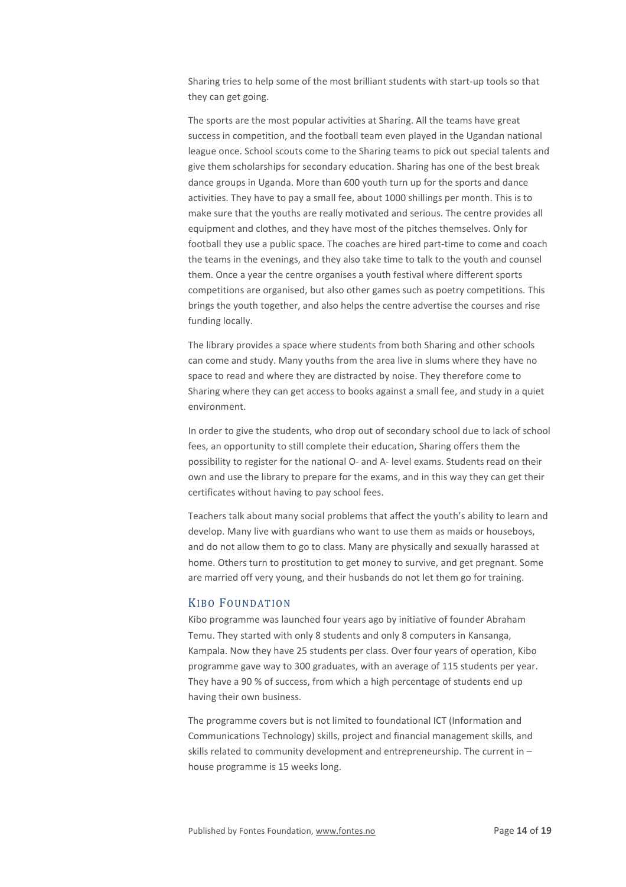Sharing tries to help some of the most brilliant students with start-up tools so that they can get going.

The sports are the most popular activities at Sharing. All the teams have great success in competition, and the football team even played in the Ugandan national league once. School scouts come to the Sharing teams to pick out special talents and give them scholarships for secondary education. Sharing has one of the best break dance groups in Uganda. More than 600 youth turn up for the sports and dance activities. They have to pay a small fee, about 1000 shillings per month. This is to make sure that the youths are really motivated and serious. The centre provides all equipment and clothes, and they have most of the pitches themselves. Only for football they use a public space. The coaches are hired part-time to come and coach the teams in the evenings, and they also take time to talk to the youth and counsel them. Once a year the centre organises a youth festival where different sports competitions are organised, but also other games such as poetry competitions. This brings the youth together, and also helps the centre advertise the courses and rise funding locally.

The library provides a space where students from both Sharing and other schools can come and study. Many youths from the area live in slums where they have no space to read and where they are distracted by noise. They therefore come to Sharing where they can get access to books against a small fee, and study in a quiet environment.

In order to give the students, who drop out of secondary school due to lack of school fees, an opportunity to still complete their education, Sharing offers them the possibility to register for the national O- and A- level exams. Students read on their own and use the library to prepare for the exams, and in this way they can get their certificates without having to pay school fees.

Teachers talk about many social problems that affect the youth's ability to learn and develop. Many live with guardians who want to use them as maids or houseboys, and do not allow them to go to class. Many are physically and sexually harassed at home. Others turn to prostitution to get money to survive, and get pregnant. Some are married off very young, and their husbands do not let them go for training.

### KIBO FOUNDATION

Kibo programme was launched four years ago by initiative of founder Abraham Temu. They started with only 8 students and only 8 computers in Kansanga, Kampala. Now they have 25 students per class. Over four years of operation, Kibo programme gave way to 300 graduates, with an average of 115 students per year. They have a 90 % of success, from which a high percentage of students end up having their own business.

The programme covers but is not limited to foundational ICT (Information and Communications Technology) skills, project and financial management skills, and skills related to community development and entrepreneurship. The current in – house programme is 15 weeks long.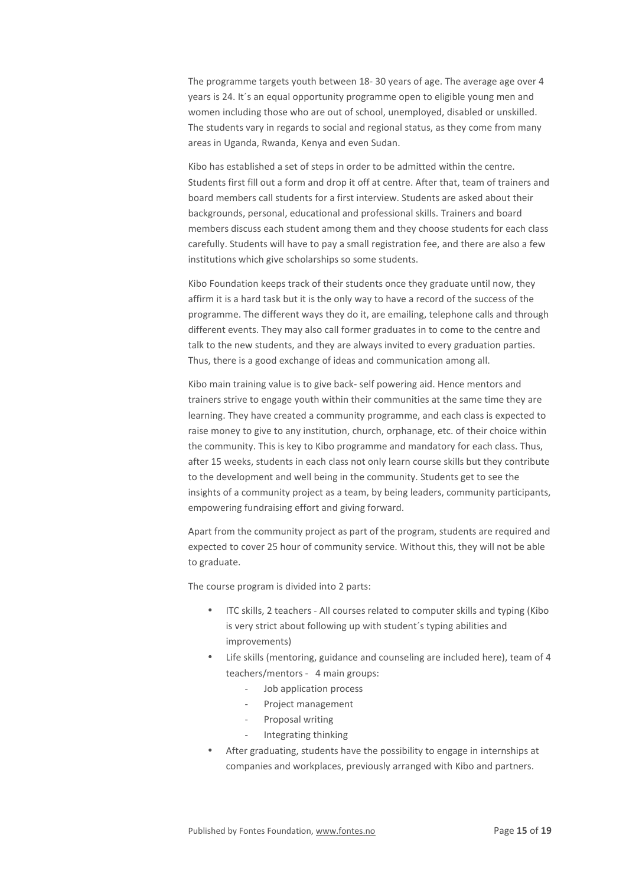The programme targets youth between 18- 30 years of age. The average age over 4 years is 24. It´s an equal opportunity programme open to eligible young men and women including those who are out of school, unemployed, disabled or unskilled. The students vary in regards to social and regional status, as they come from many areas in Uganda, Rwanda, Kenya and even Sudan.

Kibo has established a set of steps in order to be admitted within the centre. Students first fill out a form and drop it off at centre. After that, team of trainers and board members call students for a first interview. Students are asked about their backgrounds, personal, educational and professional skills. Trainers and board members discuss each student among them and they choose students for each class carefully. Students will have to pay a small registration fee, and there are also a few institutions which give scholarships so some students.

Kibo Foundation keeps track of their students once they graduate until now, they affirm it is a hard task but it is the only way to have a record of the success of the programme. The different ways they do it, are emailing, telephone calls and through different events. They may also call former graduates in to come to the centre and talk to the new students, and they are always invited to every graduation parties. Thus, there is a good exchange of ideas and communication among all.

Kibo main training value is to give back- self powering aid. Hence mentors and trainers strive to engage youth within their communities at the same time they are learning. They have created a community programme, and each class is expected to raise money to give to any institution, church, orphanage, etc. of their choice within the community. This is key to Kibo programme and mandatory for each class. Thus, after 15 weeks, students in each class not only learn course skills but they contribute to the development and well being in the community. Students get to see the insights of a community project as a team, by being leaders, community participants, empowering fundraising effort and giving forward.

Apart from the community project as part of the program, students are required and expected to cover 25 hour of community service. Without this, they will not be able to graduate.

The course program is divided into 2 parts:

- ITC skills, 2 teachers All courses related to computer skills and typing (Kibo is very strict about following up with student´s typing abilities and improvements)
- Life skills (mentoring, guidance and counseling are included here), team of 4 teachers/mentors - 4 main groups:
	- Job application process
	- Project management
	- Proposal writing
	- Integrating thinking
- After graduating, students have the possibility to engage in internships at companies and workplaces, previously arranged with Kibo and partners.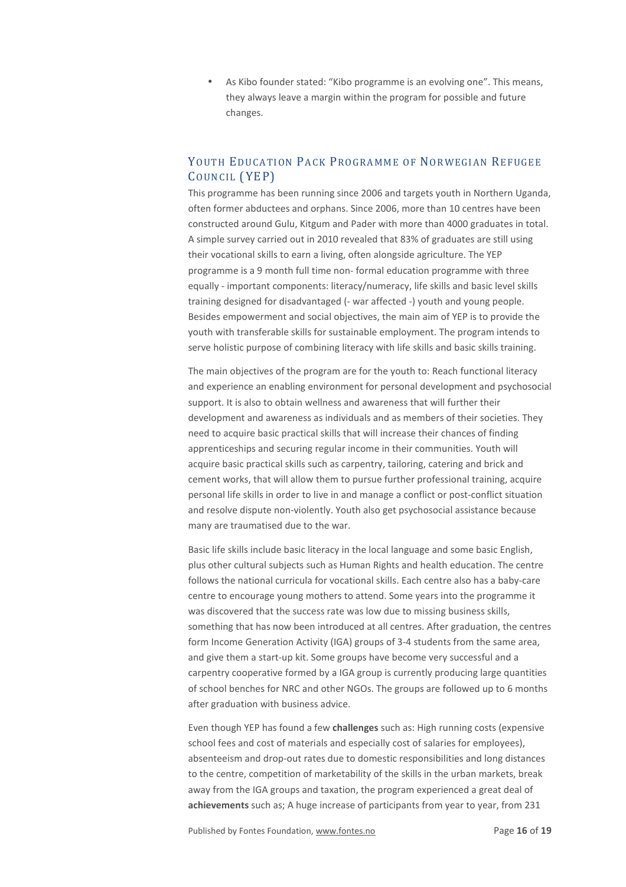• As Kibo founder stated: "Kibo programme is an evolving one". This means, they always leave a margin within the program for possible and future changes.

# YOUTH EDUCATION PACK PROGRAMME OF NORWEGIAN REFUGEE COUNCIL (YEP)

This programme has been running since 2006 and targets youth in Northern Uganda, often former abductees and orphans. Since 2006, more than 10 centres have been constructed around Gulu, Kitgum and Pader with more than 4000 graduates in total. A simple survey carried out in 2010 revealed that 83% of graduates are still using their vocational skills to earn a living, often alongside agriculture. The YEP programme is a 9 month full time non- formal education programme with three equally - important components: literacy/numeracy, life skills and basic level skills training designed for disadvantaged (- war affected -) youth and young people. Besides empowerment and social objectives, the main aim of YEP is to provide the youth with transferable skills for sustainable employment. The program intends to serve holistic purpose of combining literacy with life skills and basic skills training.

The main objectives of the program are for the youth to: Reach functional literacy and experience an enabling environment for personal development and psychosocial support. It is also to obtain wellness and awareness that will further their development and awareness as individuals and as members of their societies. They need to acquire basic practical skills that will increase their chances of finding apprenticeships and securing regular income in their communities. Youth will acquire basic practical skills such as carpentry, tailoring, catering and brick and cement works, that will allow them to pursue further professional training, acquire personal life skills in order to live in and manage a conflict or post-conflict situation and resolve dispute non-violently. Youth also get psychosocial assistance because many are traumatised due to the war.

Basic life skills include basic literacy in the local language and some basic English, plus other cultural subjects such as Human Rights and health education. The centre follows the national curricula for vocational skills. Each centre also has a baby-care centre to encourage young mothers to attend. Some years into the programme it was discovered that the success rate was low due to missing business skills, something that has now been introduced at all centres. After graduation, the centres form Income Generation Activity (IGA) groups of 3-4 students from the same area, and give them a start-up kit. Some groups have become very successful and a carpentry cooperative formed by a IGA group is currently producing large quantities of school benches for NRC and other NGOs. The groups are followed up to 6 months after graduation with business advice.

Even though YEP has found a few **challenges** such as: High running costs (expensive school fees and cost of materials and especially cost of salaries for employees), absenteeism and drop-out rates due to domestic responsibilities and long distances to the centre, competition of marketability of the skills in the urban markets, break away from the IGA groups and taxation, the program experienced a great deal of **achievements** such as; A huge increase of participants from year to year, from 231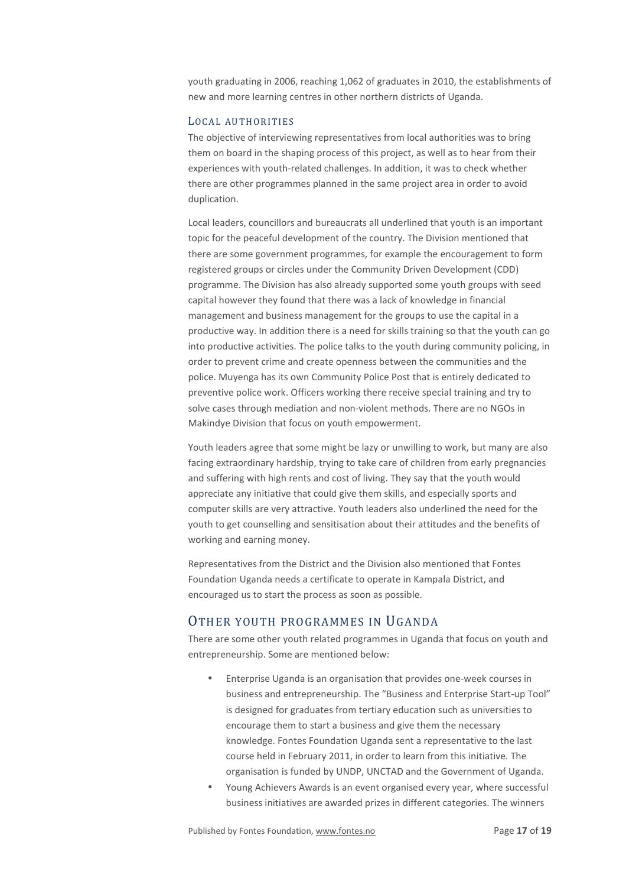youth graduating in 2006, reaching 1,062 of graduates in 2010, the establishments of new and more learning centres in other northern districts of Uganda.

## LOCAL AUTHORITIES

The objective of interviewing representatives from local authorities was to bring them on board in the shaping process of this project, as well as to hear from their experiences with youth-related challenges. In addition, it was to check whether there are other programmes planned in the same project area in order to avoid duplication.

Local leaders, councillors and bureaucrats all underlined that youth is an important topic for the peaceful development of the country. The Division mentioned that there are some government programmes, for example the encouragement to form registered groups or circles under the Community Driven Development (CDD) programme. The Division has also already supported some youth groups with seed capital however they found that there was a lack of knowledge in financial management and business management for the groups to use the capital in a productive way. In addition there is a need for skills training so that the youth can go into productive activities. The police talks to the youth during community policing, in order to prevent crime and create openness between the communities and the police. Muyenga has its own Community Police Post that is entirely dedicated to preventive police work. Officers working there receive special training and try to solve cases through mediation and non-violent methods. There are no NGOs in Makindye Division that focus on youth empowerment.

Youth leaders agree that some might be lazy or unwilling to work, but many are also facing extraordinary hardship, trying to take care of children from early pregnancies and suffering with high rents and cost of living. They say that the youth would appreciate any initiative that could give them skills, and especially sports and computer skills are very attractive. Youth leaders also underlined the need for the youth to get counselling and sensitisation about their attitudes and the benefits of working and earning money.

Representatives from the District and the Division also mentioned that Fontes Foundation Uganda needs a certificate to operate in Kampala District, and encouraged us to start the process as soon as possible.

# OTHER YOUTH PROGRAMMES IN UGANDA

There are some other youth related programmes in Uganda that focus on youth and entrepreneurship. Some are mentioned below:

- Enterprise Uganda is an organisation that provides one-week courses in business and entrepreneurship. The "Business and Enterprise Start-up Tool" is designed for graduates from tertiary education such as universities to encourage them to start a business and give them the necessary knowledge. Fontes Foundation Uganda sent a representative to the last course held in February 2011, in order to learn from this initiative. The organisation is funded by UNDP, UNCTAD and the Government of Uganda.
- Young Achievers Awards is an event organised every year, where successful business initiatives are awarded prizes in different categories. The winners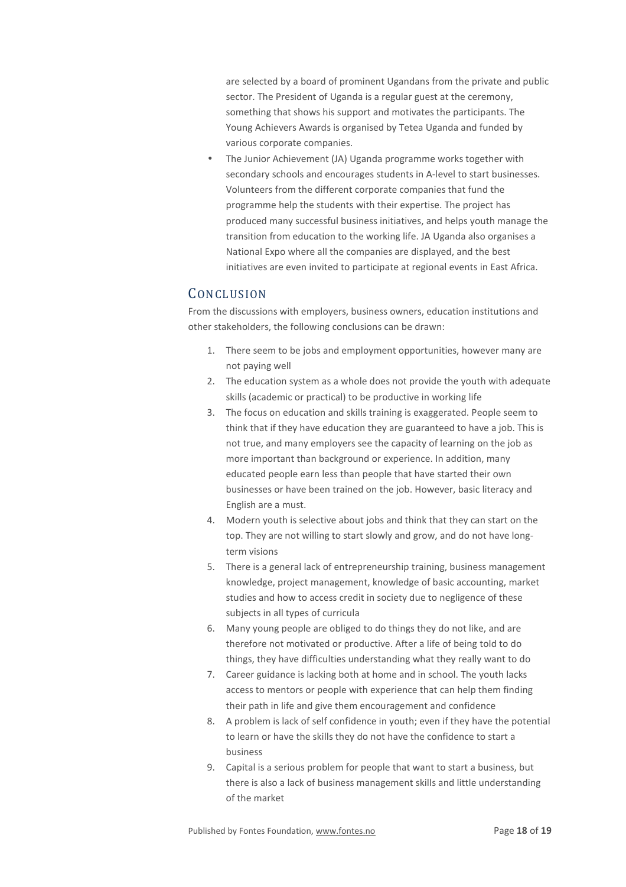are selected by a board of prominent Ugandans from the private and public sector. The President of Uganda is a regular guest at the ceremony, something that shows his support and motivates the participants. The Young Achievers Awards is organised by Tetea Uganda and funded by various corporate companies.

• The Junior Achievement (JA) Uganda programme works together with secondary schools and encourages students in A-level to start businesses. Volunteers from the different corporate companies that fund the programme help the students with their expertise. The project has produced many successful business initiatives, and helps youth manage the transition from education to the working life. JA Uganda also organises a National Expo where all the companies are displayed, and the best initiatives are even invited to participate at regional events in East Africa.

# **CONCLUSION**

From the discussions with employers, business owners, education institutions and other stakeholders, the following conclusions can be drawn:

- 1. There seem to be jobs and employment opportunities, however many are not paying well
- 2. The education system as a whole does not provide the youth with adequate skills (academic or practical) to be productive in working life
- 3. The focus on education and skills training is exaggerated. People seem to think that if they have education they are guaranteed to have a job. This is not true, and many employers see the capacity of learning on the job as more important than background or experience. In addition, many educated people earn less than people that have started their own businesses or have been trained on the job. However, basic literacy and English are a must.
- 4. Modern youth is selective about jobs and think that they can start on the top. They are not willing to start slowly and grow, and do not have longterm visions
- 5. There is a general lack of entrepreneurship training, business management knowledge, project management, knowledge of basic accounting, market studies and how to access credit in society due to negligence of these subjects in all types of curricula
- 6. Many young people are obliged to do things they do not like, and are therefore not motivated or productive. After a life of being told to do things, they have difficulties understanding what they really want to do
- 7. Career guidance is lacking both at home and in school. The youth lacks access to mentors or people with experience that can help them finding their path in life and give them encouragement and confidence
- 8. A problem is lack of self confidence in youth; even if they have the potential to learn or have the skills they do not have the confidence to start a business
- 9. Capital is a serious problem for people that want to start a business, but there is also a lack of business management skills and little understanding of the market